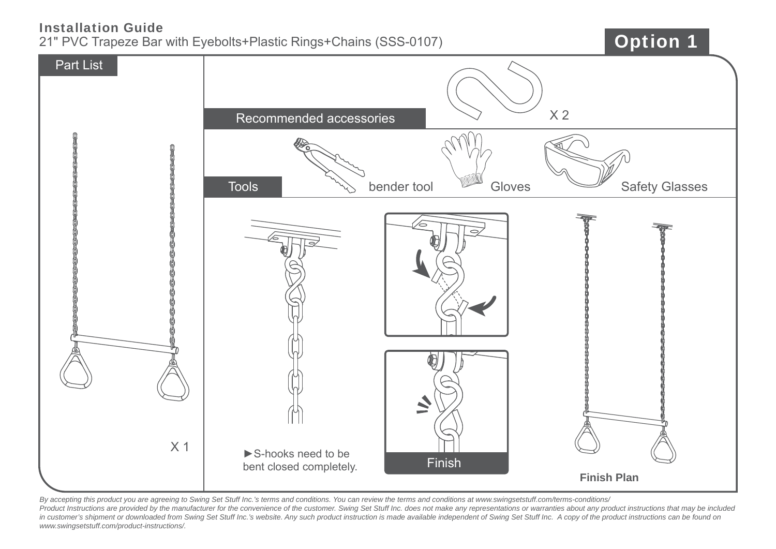## Installation Guide

21" PVC Trapeze Bar with Eyebolts+Plastic Rings+Chains (SSS-0107)

## Option 1



*By accepting this product you are agreeing to Swing Set Stuff Inc.'s terms and conditions. You can review the terms and conditions at www.swingsetstuff.com/terms-conditions/*  Product Instructions are provided by the manufacturer for the convenience of the customer. Swing Set Stuff Inc. does not make any representations or warranties about any product instructions that may be included *in customer's shipment or downloaded from Swing Set Stuff Inc.'s website. Any such product instruction is made available independent of Swing Set Stuff Inc. A copy of the product instructions can be found on www.swingsetstuff.com/product-instructions/.*